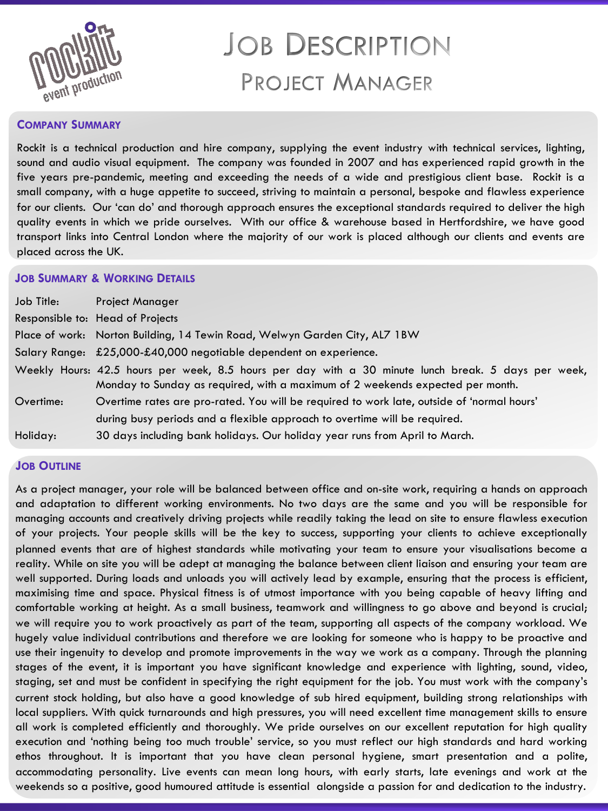

# **JOB DESCRIPTION** PROJECT MANAGER

#### **COMPANY SUMMARY**

Rockit is a technical production and hire company, supplying the event industry with technical services, lighting, sound and audio visual equipment. The company was founded in 2007 and has experienced rapid growth in the five years pre-pandemic, meeting and exceeding the needs of a wide and prestigious client base. Rockit is a small company, with a huge appetite to succeed, striving to maintain a personal, bespoke and flawless experience for our clients. Our 'can do' and thorough approach ensures the exceptional standards required to deliver the high quality events in which we pride ourselves. With our office & warehouse based in Hertfordshire, we have good transport links into Central London where the majority of our work is placed although our clients and events are placed across the UK.

#### **JOB SUMMARY & WORKING DETAILS**

| Job Title: | <b>Project Manager</b>                                                                                                                                                                |
|------------|---------------------------------------------------------------------------------------------------------------------------------------------------------------------------------------|
|            | Responsible to: Head of Projects                                                                                                                                                      |
|            | Place of work: Norton Building, 14 Tewin Road, Welwyn Garden City, AL7 1BW                                                                                                            |
|            | Salary Range: £25,000-£40,000 negotiable dependent on experience.                                                                                                                     |
|            | Weekly Hours: 42.5 hours per week, 8.5 hours per day with a 30 minute lunch break. 5 days per week,<br>Monday to Sunday as required, with a maximum of 2 weekends expected per month. |
| Overtime:  | Overtime rates are pro-rated. You will be required to work late, outside of 'normal hours'                                                                                            |
|            | during busy periods and a flexible approach to overtime will be required.                                                                                                             |
| Holiday:   | 30 days including bank holidays. Our holiday year runs from April to March.                                                                                                           |

### **JOB OUTLINE**

As a project manager, your role will be balanced between office and on-site work, requiring a hands on approach and adaptation to different working environments. No two days are the same and you will be responsible for managing accounts and creatively driving projects while readily taking the lead on site to ensure flawless execution of your projects. Your people skills will be the key to success, supporting your clients to achieve exceptionally planned events that are of highest standards while motivating your team to ensure your visualisations become a reality. While on site you will be adept at managing the balance between client liaison and ensuring your team are well supported. During loads and unloads you will actively lead by example, ensuring that the process is efficient, maximising time and space. Physical fitness is of utmost importance with you being capable of heavy lifting and comfortable working at height. As a small business, teamwork and willingness to go above and beyond is crucial; we will require you to work proactively as part of the team, supporting all aspects of the company workload. We hugely value individual contributions and therefore we are looking for someone who is happy to be proactive and use their ingenuity to develop and promote improvements in the way we work as a company. Through the planning stages of the event, it is important you have significant knowledge and experience with lighting, sound, video, staging, set and must be confident in specifying the right equipment for the job. You must work with the company's current stock holding, but also have a good knowledge of sub hired equipment, building strong relationships with local suppliers. With quick turnarounds and high pressures, you will need excellent time management skills to ensure all work is completed efficiently and thoroughly. We pride ourselves on our excellent reputation for high quality execution and 'nothing being too much trouble' service, so you must reflect our high standards and hard working ethos throughout. It is important that you have clean personal hygiene, smart presentation and a polite, accommodating personality. Live events can mean long hours, with early starts, late evenings and work at the weekends so a positive, good humoured attitude is essential alongside a passion for and dedication to the industry.